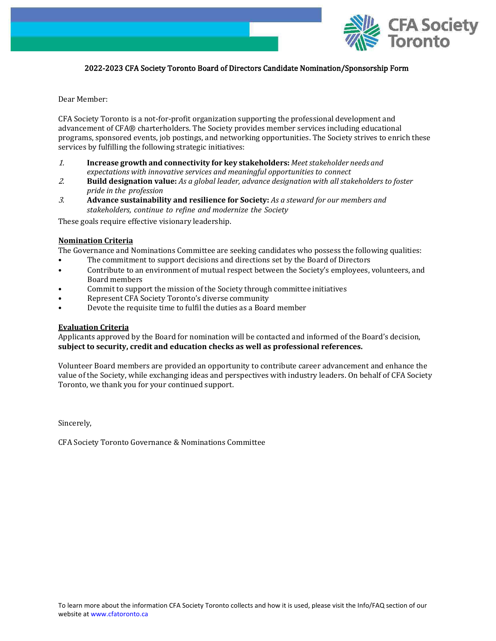

# 2022-2023 CFA Society Toronto Board of Directors Candidate Nomination/Sponsorship Form

Dear Member:

CFA Society Toronto is a not-for-profit organization supporting the professional development and advancement of CFA® charterholders. The Society provides member services including educational programs, sponsored events, job postings, and networking opportunities. The Society strives to enrich these services by fulfilling the following strategic initiatives:

- 1. **Increase growth and connectivity for key stakeholders:** *Meetstakeholder needs and expectations with innovative services and meaningful opportunities to connect*
- 2. **Build designation value:** *As a global leader, advance designation with all stakeholders to foster pride in the profession*
- 3. **Advance sustainability and resilience for Society:** *As a steward for our members and stakeholders, continue to refine and modernize the Society*

These goals require effective visionary leadership.

### **Nomination Criteria**

The Governance and Nominations Committee are seeking candidates who possess the following qualities:

- The commitment to support decisions and directions set by the Board of Directors
- Contribute to an environment of mutual respect between the Society's employees, volunteers, and Board members
- Commit to support the mission of the Society through committee initiatives
- Represent CFA Society Toronto's diverse community
- Devote the requisite time to fulfil the duties as a Board member

### **Evaluation Criteria**

Applicants approved by the Board for nomination will be contacted and informed of the Board's decision, **subject to security, credit and education checks as well as professional references.**

Volunteer Board members are provided an opportunity to contribute career advancement and enhance the value of the Society, while exchanging ideas and perspectives with industry leaders. On behalf of CFA Society Toronto, we thank you for your continued support.

Sincerely,

CFA Society Toronto Governance & Nominations Committee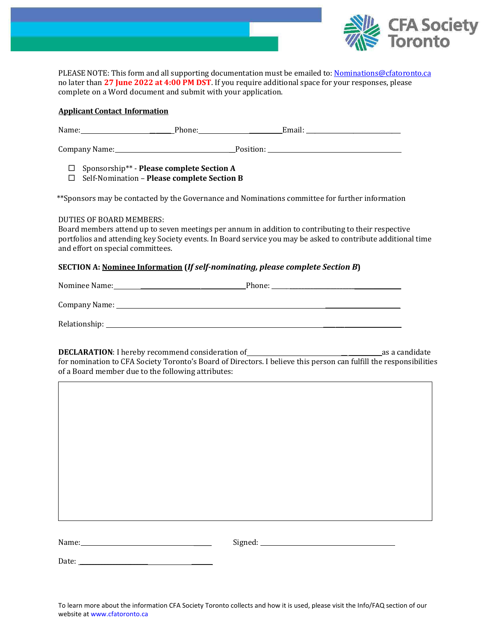

PLEASE NOTE: This form and all supporting documentation must be emailed to: [Nominations@cfatoronto.ca](mailto:Nominations@cfatoronto.ca) no later than **27 June 2022 at 4:00 PM DST**. If you require additional space for your responses, please complete on a Word document and submit with your application.

## **Applicant Contact Information**

Name: \_\_\_\_\_\_\_ Phone: \_\_\_\_\_\_\_\_\_\_\_Email: \_\_\_\_\_\_\_\_\_\_\_\_\_\_\_\_\_\_\_\_\_\_\_\_\_\_\_\_\_\_\_\_

Company Name: \_\_Position:

Sponsorship\*\* - **Please complete Section A**

Self-Nomination – **Please complete Section B**

\*\*Sponsors may be contacted by the Governance and Nominations committee for further information

DUTIES OF BOARD MEMBERS:

Board members attend up to seven meetings per annum in addition to contributing to their respective portfolios and attending key Society events. In Board service you may be asked to contribute additional time and effort on special committees.

# **SECTION A: Nominee Information (***If self-nominating, please complete Section B***)**

Nominee Name: \_\_\_\_\_\_\_\_\_\_\_\_\_\_\_\_\_\_\_\_\_\_\_\_\_\_\_\_\_\_\_\_\_\_\_Phone: \_\_\_\_\_\_**\_\_\_\_\_\_\_\_\_\_\_\_\_\_\_\_\_\_\_\_\_\_ \_\_\_\_\_\_\_\_\_** Company Name: \_\_\_\_\_\_\_\_\_\_\_\_\_\_\_\_\_\_\_\_\_\_\_\_\_ Relationship: \_\_\_\_\_\_\_\_\_\_\_\_\_\_\_\_\_\_\_\_\_\_\_\_\_\_

**DECLARATION**: I hereby recommend consideration of \_\_ \_\_\_\_\_\_\_\_\_\_\_as a candidate for nomination to CFA Society Toronto's Board of Directors. I believe this person can fulfill the responsibilities of a Board member due to the following attributes:

Name: \_\_\_\_\_\_ Signed:

Date:  $\Box$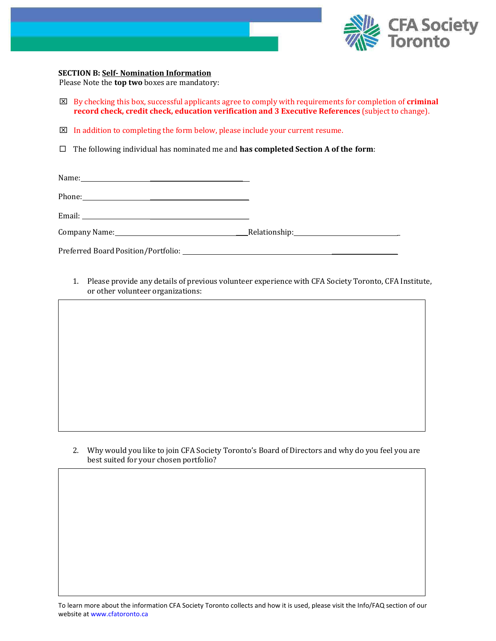

### **SECTION B: Self- Nomination Information**

Please Note the **top two** boxes are mandatory:

- By checking this box, successful applicants agree to comply with requirements for completion of **criminal record check, credit check, education verification and 3 Executive References** (subject to change).
- $\boxtimes$  In addition to completing the form below, please include your current resume.
- The following individual has nominated me and **has completed Section A of the form**:

1. Please provide any details of previous volunteer experience with CFA Society Toronto, CFA Institute, or other volunteer organizations:

2. Why would you like to join CFA Society Toronto's Board of Directors and why do you feel you are best suited for your chosen portfolio?